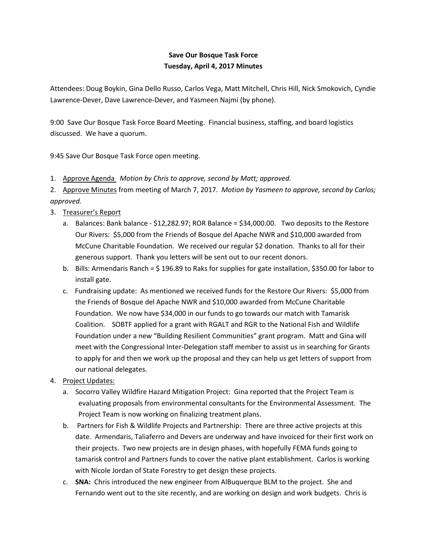## **Save Our Bosque Task Force Tuesday, April 4, 2017 Minutes**

Attendees: Doug Boykin, Gina Dello Russo, Carlos Vega, Matt Mitchell, Chris Hill, Nick Smokovich, Cyndie Lawrence-Dever, Dave Lawrence-Dever, and Yasmeen Najmi (by phone).

9:00 Save Our Bosque Task Force Board Meeting. Financial business, staffing, and board logistics discussed. We have a quorum.

9:45 Save Our Bosque Task Force open meeting.

1. Approve Agenda *Motion by Chris to approve, second by Matt; approved.*

2. Approve Minutes from meeting of March 7, 2017. *Motion by Yasmeen to approve, second by Carlos; approved.*

- 3. Treasurer's Report
	- a. Balances: Bank balance \$12,282.97; ROR Balance = \$34,000.00. Two deposits to the Restore Our Rivers: \$5,000 from the Friends of Bosque del Apache NWR and \$10,000 awarded from McCune Charitable Foundation. We received our regular \$2 donation. Thanks to all for their generous support. Thank you letters will be sent out to our recent donors.
	- b. Bills: Armendaris Ranch = \$ 196.89 to Raks for supplies for gate installation, \$350.00 for labor to install gate.
	- c. Fundraising update: As mentioned we received funds for the Restore Our Rivers: \$5,000 from the Friends of Bosque del Apache NWR and \$10,000 awarded from McCune Charitable Foundation. We now have \$34,000 in our funds to go towards our match with Tamarisk Coalition. SOBTF applied for a grant with RGALT and RGR to the National Fish and Wildlife Foundation under a new "Building Resilient Communities" grant program. Matt and Gina will meet with the Congressional Inter-Delegation staff member to assist us in searching for Grants to apply for and then we work up the proposal and they can help us get letters of support from our national delegates.

## 4. Project Updates:

- a. Socorro Valley Wildfire Hazard Mitigation Project: Gina reported that the Project Team is evaluating proposals from environmental consultants for the Environmental Assessment. The Project Team is now working on finalizing treatment plans.
- b. Partners for Fish & Wildlife Projects and Partnership: There are three active projects at this date. Armendaris, Taliaferro and Devers are underway and have invoiced for their first work on their projects. Two new projects are in design phases, with hopefully FEMA funds going to tamarisk control and Partners funds to cover the native plant establishment. Carlos is working with Nicole Jordan of State Forestry to get design these projects.
- c. **SNA:** Chris introduced the new engineer from AlBuquerque BLM to the project. She and Fernando went out to the site recently, and are working on design and work budgets. Chris is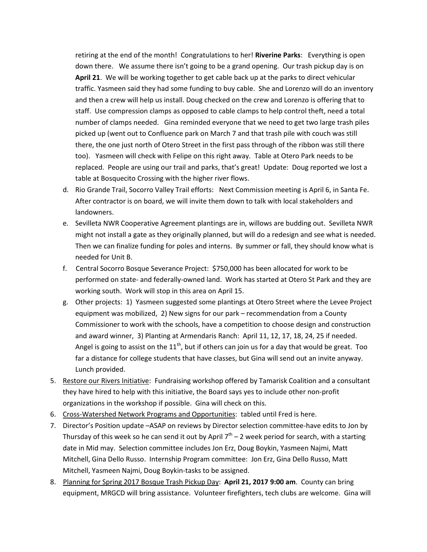retiring at the end of the month! Congratulations to her! **Riverine Parks**: Everything is open down there. We assume there isn't going to be a grand opening. Our trash pickup day is on **April 21**. We will be working together to get cable back up at the parks to direct vehicular traffic. Yasmeen said they had some funding to buy cable. She and Lorenzo will do an inventory and then a crew will help us install. Doug checked on the crew and Lorenzo is offering that to staff. Use compression clamps as opposed to cable clamps to help control theft, need a total number of clamps needed. Gina reminded everyone that we need to get two large trash piles picked up (went out to Confluence park on March 7 and that trash pile with couch was still there, the one just north of Otero Street in the first pass through of the ribbon was still there too). Yasmeen will check with Felipe on this right away. Table at Otero Park needs to be replaced. People are using our trail and parks, that's great! Update: Doug reported we lost a table at Bosquecito Crossing with the higher river flows.

- d. Rio Grande Trail, Socorro Valley Trail efforts: Next Commission meeting is April 6, in Santa Fe. After contractor is on board, we will invite them down to talk with local stakeholders and landowners.
- e. Sevilleta NWR Cooperative Agreement plantings are in, willows are budding out. Sevilleta NWR might not install a gate as they originally planned, but will do a redesign and see what is needed. Then we can finalize funding for poles and interns. By summer or fall, they should know what is needed for Unit B.
- f. Central Socorro Bosque Severance Project: \$750,000 has been allocated for work to be performed on state- and federally-owned land. Work has started at Otero St Park and they are working south. Work will stop in this area on April 15.
- g. Other projects: 1) Yasmeen suggested some plantings at Otero Street where the Levee Project equipment was mobilized, 2) New signs for our park – recommendation from a County Commissioner to work with the schools, have a competition to choose design and construction and award winner, 3) Planting at Armendaris Ranch: April 11, 12, 17, 18, 24, 25 if needed. Angel is going to assist on the  $11<sup>th</sup>$ , but if others can join us for a day that would be great. Too far a distance for college students that have classes, but Gina will send out an invite anyway. Lunch provided.
- 5. Restore our Rivers Initiative: Fundraising workshop offered by Tamarisk Coalition and a consultant they have hired to help with this initiative, the Board says yes to include other non-profit organizations in the workshop if possible. Gina will check on this.
- 6. Cross-Watershed Network Programs and Opportunities: tabled until Fred is here.
- 7. Director's Position update –ASAP on reviews by Director selection committee-have edits to Jon by Thursday of this week so he can send it out by April  $7<sup>th</sup> - 2$  week period for search, with a starting date in Mid may. Selection committee includes Jon Erz, Doug Boykin, Yasmeen Najmi, Matt Mitchell, Gina Dello Russo. Internship Program committee: Jon Erz, Gina Dello Russo, Matt Mitchell, Yasmeen Najmi, Doug Boykin-tasks to be assigned.
- 8. Planning for Spring 2017 Bosque Trash Pickup Day: **April 21, 2017 9:00 am**. County can bring equipment, MRGCD will bring assistance. Volunteer firefighters, tech clubs are welcome. Gina will